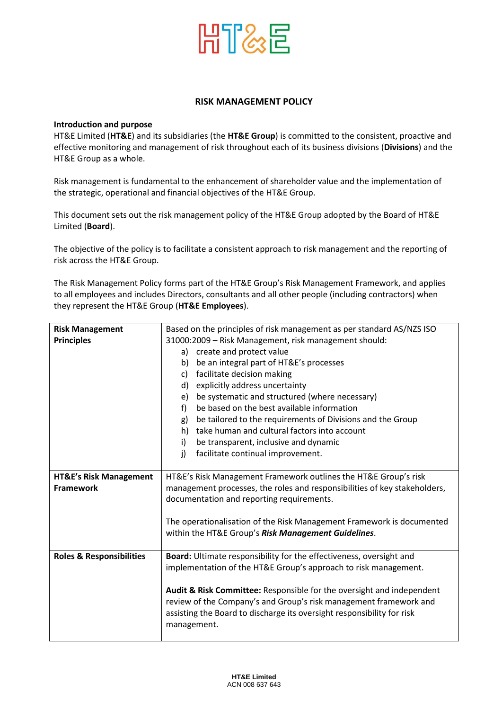

## **RISK MANAGEMENT POLICY**

## **Introduction and purpose**

HT&E Limited (**HT&E**) and its subsidiaries (the **HT&E Group**) is committed to the consistent, proactive and effective monitoring and management of risk throughout each of its business divisions (**Divisions**) and the HT&E Group as a whole.

Risk management is fundamental to the enhancement of shareholder value and the implementation of the strategic, operational and financial objectives of the HT&E Group.

This document sets out the risk management policy of the HT&E Group adopted by the Board of HT&E Limited (**Board**).

The objective of the policy is to facilitate a consistent approach to risk management and the reporting of risk across the HT&E Group.

The Risk Management Policy forms part of the HT&E Group's Risk Management Framework, and applies to all employees and includes Directors, consultants and all other people (including contractors) when they represent the HT&E Group (**HT&E Employees**).

| <b>Risk Management</b>              | Based on the principles of risk management as per standard AS/NZS ISO     |
|-------------------------------------|---------------------------------------------------------------------------|
|                                     |                                                                           |
| <b>Principles</b>                   | 31000:2009 - Risk Management, risk management should:                     |
|                                     | create and protect value<br>a)                                            |
|                                     | be an integral part of HT&E's processes<br>b)                             |
|                                     | facilitate decision making<br>C)                                          |
|                                     | d) explicitly address uncertainty                                         |
|                                     | be systematic and structured (where necessary)<br>e)                      |
|                                     | be based on the best available information<br>f)                          |
|                                     | be tailored to the requirements of Divisions and the Group<br>g)          |
|                                     | take human and cultural factors into account<br>h)                        |
|                                     | i)<br>be transparent, inclusive and dynamic                               |
|                                     | facilitate continual improvement.<br>j)                                   |
|                                     |                                                                           |
| <b>HT&amp;E's Risk Management</b>   | HT&E's Risk Management Framework outlines the HT&E Group's risk           |
| <b>Framework</b>                    | management processes, the roles and responsibilities of key stakeholders, |
|                                     | documentation and reporting requirements.                                 |
|                                     |                                                                           |
|                                     | The operationalisation of the Risk Management Framework is documented     |
|                                     | within the HT&E Group's Risk Management Guidelines.                       |
|                                     |                                                                           |
| <b>Roles &amp; Responsibilities</b> | Board: Ultimate responsibility for the effectiveness, oversight and       |
|                                     | implementation of the HT&E Group's approach to risk management.           |
|                                     |                                                                           |
|                                     | Audit & Risk Committee: Responsible for the oversight and independent     |
|                                     | review of the Company's and Group's risk management framework and         |
|                                     | assisting the Board to discharge its oversight responsibility for risk    |
|                                     | management.                                                               |
|                                     |                                                                           |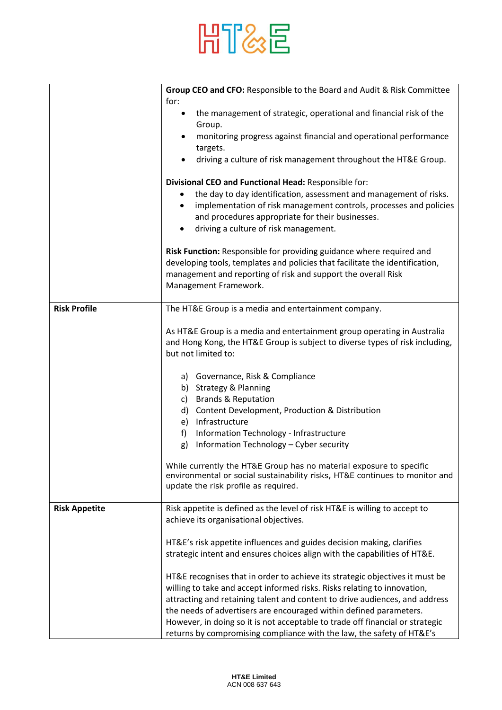

|                      | Group CEO and CFO: Responsible to the Board and Audit & Risk Committee<br>for:                                                                                                                                                                 |
|----------------------|------------------------------------------------------------------------------------------------------------------------------------------------------------------------------------------------------------------------------------------------|
|                      | the management of strategic, operational and financial risk of the<br>$\bullet$<br>Group.                                                                                                                                                      |
|                      | monitoring progress against financial and operational performance<br>targets.                                                                                                                                                                  |
|                      | driving a culture of risk management throughout the HT&E Group.<br>$\bullet$                                                                                                                                                                   |
|                      | Divisional CEO and Functional Head: Responsible for:<br>the day to day identification, assessment and management of risks.<br>٠                                                                                                                |
|                      | implementation of risk management controls, processes and policies<br>$\bullet$<br>and procedures appropriate for their businesses.                                                                                                            |
|                      | driving a culture of risk management.                                                                                                                                                                                                          |
|                      | Risk Function: Responsible for providing guidance where required and<br>developing tools, templates and policies that facilitate the identification,<br>management and reporting of risk and support the overall Risk<br>Management Framework. |
| <b>Risk Profile</b>  | The HT&E Group is a media and entertainment company.                                                                                                                                                                                           |
|                      | As HT&E Group is a media and entertainment group operating in Australia<br>and Hong Kong, the HT&E Group is subject to diverse types of risk including,<br>but not limited to:                                                                 |
|                      | a) Governance, Risk & Compliance                                                                                                                                                                                                               |
|                      | b) Strategy & Planning                                                                                                                                                                                                                         |
|                      | c) Brands & Reputation<br>d) Content Development, Production & Distribution                                                                                                                                                                    |
|                      | e) Infrastructure                                                                                                                                                                                                                              |
|                      | Information Technology - Infrastructure<br>f)                                                                                                                                                                                                  |
|                      | Information Technology - Cyber security<br>g)                                                                                                                                                                                                  |
|                      | While currently the HT&E Group has no material exposure to specific<br>environmental or social sustainability risks, HT&E continues to monitor and                                                                                             |
|                      | update the risk profile as required.                                                                                                                                                                                                           |
| <b>Risk Appetite</b> | Risk appetite is defined as the level of risk HT&E is willing to accept to                                                                                                                                                                     |
|                      | achieve its organisational objectives.                                                                                                                                                                                                         |
|                      | HT&E's risk appetite influences and guides decision making, clarifies                                                                                                                                                                          |
|                      | strategic intent and ensures choices align with the capabilities of HT&E.                                                                                                                                                                      |
|                      | HT&E recognises that in order to achieve its strategic objectives it must be<br>willing to take and accept informed risks. Risks relating to innovation,                                                                                       |
|                      | attracting and retaining talent and content to drive audiences, and address                                                                                                                                                                    |
|                      | the needs of advertisers are encouraged within defined parameters.<br>However, in doing so it is not acceptable to trade off financial or strategic                                                                                            |
|                      | returns by compromising compliance with the law, the safety of HT&E's                                                                                                                                                                          |